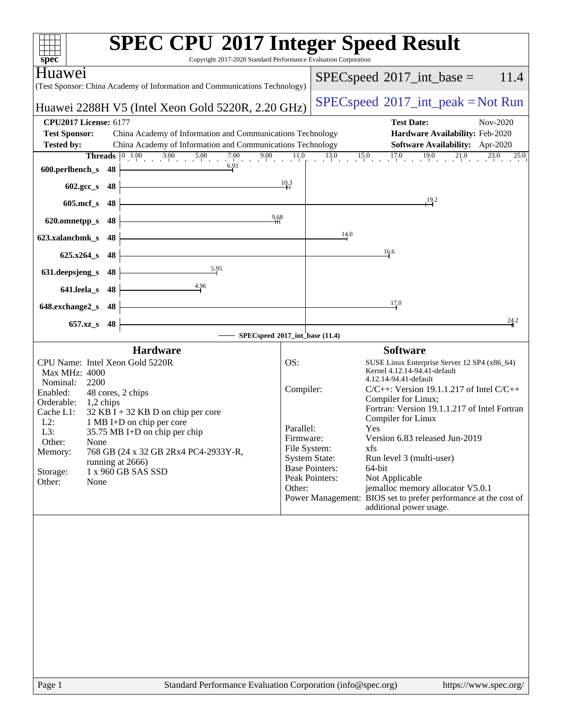| Copyright 2017-2020 Standard Performance Evaluation Corporation<br>$spec^*$                                                                                                                                                                                                                                                                                                                                                          |                                                                                                                                         | <b>SPEC CPU®2017 Integer Speed Result</b>                                                                                                                                                                                                                                                                                                                                                                                                                                                                        |
|--------------------------------------------------------------------------------------------------------------------------------------------------------------------------------------------------------------------------------------------------------------------------------------------------------------------------------------------------------------------------------------------------------------------------------------|-----------------------------------------------------------------------------------------------------------------------------------------|------------------------------------------------------------------------------------------------------------------------------------------------------------------------------------------------------------------------------------------------------------------------------------------------------------------------------------------------------------------------------------------------------------------------------------------------------------------------------------------------------------------|
| Huawei                                                                                                                                                                                                                                                                                                                                                                                                                               |                                                                                                                                         | 11.4<br>$SPEC speed^{\circ}2017\_int\_base =$                                                                                                                                                                                                                                                                                                                                                                                                                                                                    |
| (Test Sponsor: China Academy of Information and Communications Technology)                                                                                                                                                                                                                                                                                                                                                           |                                                                                                                                         |                                                                                                                                                                                                                                                                                                                                                                                                                                                                                                                  |
| Huawei 2288H V5 (Intel Xeon Gold 5220R, 2.20 GHz)                                                                                                                                                                                                                                                                                                                                                                                    |                                                                                                                                         | $SPEC speed^{\circ}2017\_int\_peak = Not Run$                                                                                                                                                                                                                                                                                                                                                                                                                                                                    |
| <b>CPU2017 License: 6177</b><br><b>Test Sponsor:</b><br>China Academy of Information and Communications Technology                                                                                                                                                                                                                                                                                                                   |                                                                                                                                         | <b>Test Date:</b><br>Nov-2020<br>Hardware Availability: Feb-2020                                                                                                                                                                                                                                                                                                                                                                                                                                                 |
| China Academy of Information and Communications Technology<br><b>Tested by:</b>                                                                                                                                                                                                                                                                                                                                                      |                                                                                                                                         | Software Availability: Apr-2020                                                                                                                                                                                                                                                                                                                                                                                                                                                                                  |
| Threads $0$ 1.00                                                                                                                                                                                                                                                                                                                                                                                                                     |                                                                                                                                         | $1.00$ $3.00$ $5.00$ $7.00$ $9.00$ $11.0$ $13.0$ $15.0$ $17.0$ $19.0$ $21.0$ $23.0$<br>25.0                                                                                                                                                                                                                                                                                                                                                                                                                      |
| 6.93<br>600.perlbench_s<br>48                                                                                                                                                                                                                                                                                                                                                                                                        |                                                                                                                                         |                                                                                                                                                                                                                                                                                                                                                                                                                                                                                                                  |
| 48<br>$602 \text{.} \text{gcc}\text{.}$ s                                                                                                                                                                                                                                                                                                                                                                                            | 10.3                                                                                                                                    |                                                                                                                                                                                                                                                                                                                                                                                                                                                                                                                  |
| $605$ .mcf_s<br>48                                                                                                                                                                                                                                                                                                                                                                                                                   |                                                                                                                                         | $\frac{19.2}{1}$                                                                                                                                                                                                                                                                                                                                                                                                                                                                                                 |
| 620.omnetpp_s<br>48                                                                                                                                                                                                                                                                                                                                                                                                                  | 9.68                                                                                                                                    |                                                                                                                                                                                                                                                                                                                                                                                                                                                                                                                  |
| 623.xalancbmk s<br>48                                                                                                                                                                                                                                                                                                                                                                                                                |                                                                                                                                         | 14.0                                                                                                                                                                                                                                                                                                                                                                                                                                                                                                             |
| $625.x264$ s<br>48                                                                                                                                                                                                                                                                                                                                                                                                                   |                                                                                                                                         | 16.6                                                                                                                                                                                                                                                                                                                                                                                                                                                                                                             |
| 5.95<br>631.deepsjeng_s<br>48                                                                                                                                                                                                                                                                                                                                                                                                        |                                                                                                                                         |                                                                                                                                                                                                                                                                                                                                                                                                                                                                                                                  |
| 4.96<br>641.leela_s<br>48                                                                                                                                                                                                                                                                                                                                                                                                            |                                                                                                                                         |                                                                                                                                                                                                                                                                                                                                                                                                                                                                                                                  |
| 648.exchange2_s<br>48                                                                                                                                                                                                                                                                                                                                                                                                                |                                                                                                                                         | 17.0                                                                                                                                                                                                                                                                                                                                                                                                                                                                                                             |
| 657.xz_s<br>48                                                                                                                                                                                                                                                                                                                                                                                                                       |                                                                                                                                         | 24.2                                                                                                                                                                                                                                                                                                                                                                                                                                                                                                             |
|                                                                                                                                                                                                                                                                                                                                                                                                                                      | SPECspeed®2017_int_base (11.4)                                                                                                          |                                                                                                                                                                                                                                                                                                                                                                                                                                                                                                                  |
| <b>Hardware</b><br>CPU Name: Intel Xeon Gold 5220R<br>Max MHz: 4000<br>Nominal:<br>2200<br>Enabled:<br>48 cores, 2 chips<br>Orderable:<br>1,2 chips<br>Cache L1:<br>$32$ KB I + 32 KB D on chip per core<br>$L2$ :<br>1 MB I+D on chip per core<br>L3:<br>35.75 MB I+D on chip per chip<br>Other:<br>None<br>768 GB (24 x 32 GB 2Rx4 PC4-2933Y-R,<br>Memory:<br>running at 2666)<br>1 x 960 GB SAS SSD<br>Storage:<br>Other:<br>None | OS:<br>Compiler:<br>Parallel:<br>Firmware:<br>File System:<br><b>System State:</b><br><b>Base Pointers:</b><br>Peak Pointers:<br>Other: | <b>Software</b><br>SUSE Linux Enterprise Server 12 SP4 (x86_64)<br>Kernel 4.12.14-94.41-default<br>4.12.14-94.41-default<br>$C/C++$ : Version 19.1.1.217 of Intel $C/C++$<br>Compiler for Linux;<br>Fortran: Version 19.1.1.217 of Intel Fortran<br>Compiler for Linux<br>Yes<br>Version 6.83 released Jun-2019<br>xfs<br>Run level 3 (multi-user)<br>64-bit<br>Not Applicable<br>jemalloc memory allocator V5.0.1<br>Power Management: BIOS set to prefer performance at the cost of<br>additional power usage. |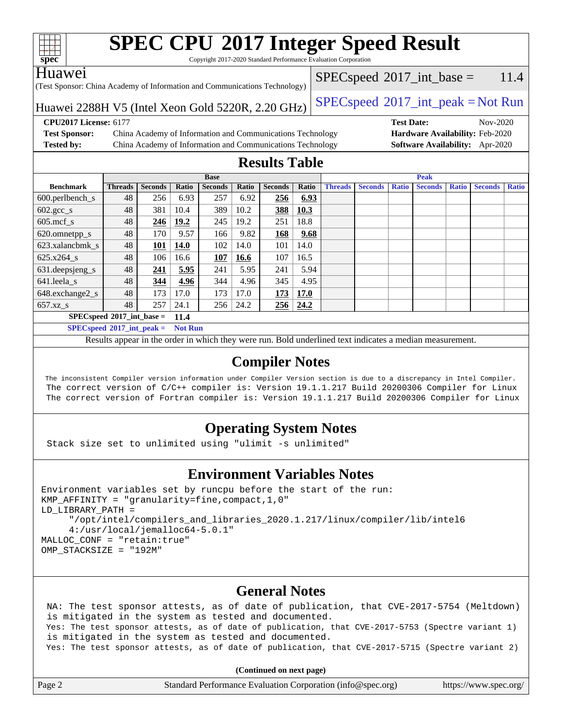| ę.<br>e<br>ι,<br>z |  |  |  |  |  |
|--------------------|--|--|--|--|--|

Copyright 2017-2020 Standard Performance Evaluation Corporation

### Huawei

(Test Sponsor: China Academy of Information and Communications Technology)

 $SPECspeed^{\circ}2017\_int\_base = 11.4$  $SPECspeed^{\circ}2017\_int\_base = 11.4$ 

# Huawei 2288H V5 (Intel Xeon Gold 5220R, 2.20 GHz)  $\vert$  [SPECspeed](http://www.spec.org/auto/cpu2017/Docs/result-fields.html#SPECspeed2017intpeak)<sup>®</sup>[2017\\_int\\_peak = N](http://www.spec.org/auto/cpu2017/Docs/result-fields.html#SPECspeed2017intpeak)ot Run

**[Test Sponsor:](http://www.spec.org/auto/cpu2017/Docs/result-fields.html#TestSponsor)** China Academy of Information and Communications Technology **[Hardware Availability:](http://www.spec.org/auto/cpu2017/Docs/result-fields.html#HardwareAvailability)** Feb-2020 **[Tested by:](http://www.spec.org/auto/cpu2017/Docs/result-fields.html#Testedby)** China Academy of Information and Communications Technology **[Software Availability:](http://www.spec.org/auto/cpu2017/Docs/result-fields.html#SoftwareAvailability)** Apr-2020

**[CPU2017 License:](http://www.spec.org/auto/cpu2017/Docs/result-fields.html#CPU2017License)** 6177 **[Test Date:](http://www.spec.org/auto/cpu2017/Docs/result-fields.html#TestDate)** Nov-2020

# **[Results Table](http://www.spec.org/auto/cpu2017/Docs/result-fields.html#ResultsTable)**

|                             | <b>Base</b>    |                |       |                | <b>Peak</b> |                |                 |                |                |              |                |              |                |              |
|-----------------------------|----------------|----------------|-------|----------------|-------------|----------------|-----------------|----------------|----------------|--------------|----------------|--------------|----------------|--------------|
| <b>Benchmark</b>            | <b>Threads</b> | <b>Seconds</b> | Ratio | <b>Seconds</b> | Ratio       | <b>Seconds</b> | Ratio           | <b>Threads</b> | <b>Seconds</b> | <b>Ratio</b> | <b>Seconds</b> | <b>Ratio</b> | <b>Seconds</b> | <b>Ratio</b> |
| $600.$ perlbench_s          | 48             | 256            | 6.93  | 257            | 6.92        | 256            | 6.93            |                |                |              |                |              |                |              |
| $602.\text{gcc}\_\text{s}$  | 48             | 381            | 10.4  | 389            | 10.2        | 388            | 10.3            |                |                |              |                |              |                |              |
| $605$ .mcf s                | 48             | 246            | 19.2  | 245            | 19.2        | 251            | 18.8            |                |                |              |                |              |                |              |
| 620.omnetpp_s               | 48             | 170            | 9.57  | 166            | 9.82        | 168            | 9.68            |                |                |              |                |              |                |              |
| 623.xalancbmk s             | 48             | 101            | 14.0  | 102            | 14.0        | 101            | 14.0            |                |                |              |                |              |                |              |
| 625.x264 s                  | 48             | 106            | 16.6  | 107            | 16.6        | 107            | 16.5            |                |                |              |                |              |                |              |
| $631.$ deepsjeng $s$        | 48             | 241            | 5.95  | 241            | 5.95        | 241            | 5.94            |                |                |              |                |              |                |              |
| 641.leela s                 | 48             | 344            | 4.96  | 344            | 4.96        | 345            | 4.95            |                |                |              |                |              |                |              |
| 648.exchange2_s             | 48             | 173            | 17.0  | 173            | 17.0        | 173            | 17.0            |                |                |              |                |              |                |              |
| $657.xz$ <sub>_S</sub>      | 48             | 257            | 24.1  | 256            | 24.2        |                | $256 \mid 24.2$ |                |                |              |                |              |                |              |
| $SPECspeed*2017$ int base = |                |                | 11.4  |                |             |                |                 |                |                |              |                |              |                |              |

**[SPECspeed](http://www.spec.org/auto/cpu2017/Docs/result-fields.html#SPECspeed2017intpeak)[2017\\_int\\_peak =](http://www.spec.org/auto/cpu2017/Docs/result-fields.html#SPECspeed2017intpeak) Not Run**

Results appear in the [order in which they were run.](http://www.spec.org/auto/cpu2017/Docs/result-fields.html#RunOrder) Bold underlined text [indicates a median measurement.](http://www.spec.org/auto/cpu2017/Docs/result-fields.html#Median)

### **[Compiler Notes](http://www.spec.org/auto/cpu2017/Docs/result-fields.html#CompilerNotes)**

 The inconsistent Compiler version information under Compiler Version section is due to a discrepancy in Intel Compiler. The correct version of C/C++ compiler is: Version 19.1.1.217 Build 20200306 Compiler for Linux The correct version of Fortran compiler is: Version 19.1.1.217 Build 20200306 Compiler for Linux

# **[Operating System Notes](http://www.spec.org/auto/cpu2017/Docs/result-fields.html#OperatingSystemNotes)**

Stack size set to unlimited using "ulimit -s unlimited"

# **[Environment Variables Notes](http://www.spec.org/auto/cpu2017/Docs/result-fields.html#EnvironmentVariablesNotes)**

```
Environment variables set by runcpu before the start of the run:
KMP_AFFINITY = "granularity=fine,compact,1,0"
LD_LIBRARY_PATH =
      "/opt/intel/compilers_and_libraries_2020.1.217/linux/compiler/lib/intel6
      4:/usr/local/jemalloc64-5.0.1"
MALLOC_CONF = "retain:true"
OMP_STACKSIZE = "192M"
```
# **[General Notes](http://www.spec.org/auto/cpu2017/Docs/result-fields.html#GeneralNotes)**

 NA: The test sponsor attests, as of date of publication, that CVE-2017-5754 (Meltdown) is mitigated in the system as tested and documented. Yes: The test sponsor attests, as of date of publication, that CVE-2017-5753 (Spectre variant 1) is mitigated in the system as tested and documented. Yes: The test sponsor attests, as of date of publication, that CVE-2017-5715 (Spectre variant 2)

**(Continued on next page)**

| Page 2 | Standard Performance Evaluation Corporation (info@spec.org) | https://www.spec.org/ |
|--------|-------------------------------------------------------------|-----------------------|
|--------|-------------------------------------------------------------|-----------------------|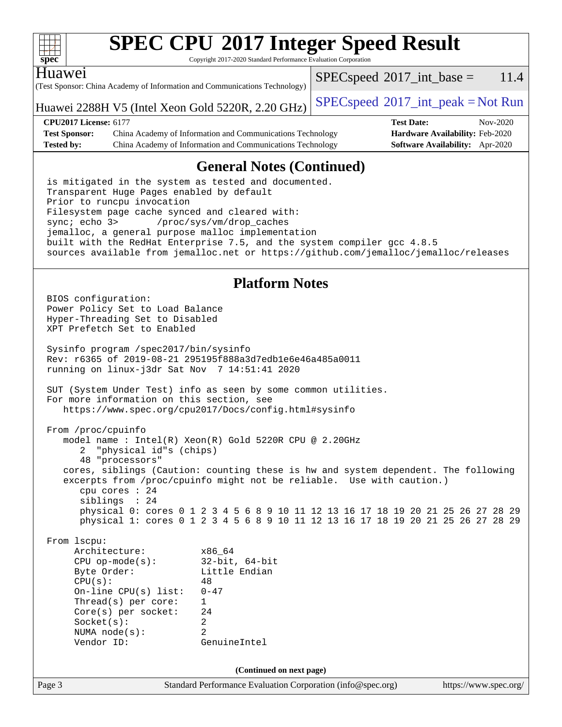| ч<br>ť<br>č |  |  |  |  |  |
|-------------|--|--|--|--|--|

Copyright 2017-2020 Standard Performance Evaluation Corporation

### Huawei

(Test Sponsor: China Academy of Information and Communications Technology)

 $SPEC speed^{\circ}2017\_int\_base = 11.4$ 

Huawei 2288H V5 (Intel Xeon Gold 5220R, 2.20 GHz)  $\vert$  [SPECspeed](http://www.spec.org/auto/cpu2017/Docs/result-fields.html#SPECspeed2017intpeak)®[2017\\_int\\_peak = N](http://www.spec.org/auto/cpu2017/Docs/result-fields.html#SPECspeed2017intpeak)ot Run

| <b>CPU2017 License: 6177</b> |                                                            | <b>Test Date:</b>                      | Nov-2020 |
|------------------------------|------------------------------------------------------------|----------------------------------------|----------|
| <b>Test Sponsor:</b>         | China Academy of Information and Communications Technology | <b>Hardware Availability: Feb-2020</b> |          |
| <b>Tested by:</b>            | China Academy of Information and Communications Technology | <b>Software Availability:</b> Apr-2020 |          |

# **[General Notes \(Continued\)](http://www.spec.org/auto/cpu2017/Docs/result-fields.html#GeneralNotes)**

 is mitigated in the system as tested and documented. Transparent Huge Pages enabled by default Prior to runcpu invocation Filesystem page cache synced and cleared with: sync; echo 3> /proc/sys/vm/drop\_caches jemalloc, a general purpose malloc implementation built with the RedHat Enterprise 7.5, and the system compiler gcc 4.8.5 sources available from jemalloc.net or <https://github.com/jemalloc/jemalloc/releases>

### **[Platform Notes](http://www.spec.org/auto/cpu2017/Docs/result-fields.html#PlatformNotes)**

Page 3 Standard Performance Evaluation Corporation [\(info@spec.org\)](mailto:info@spec.org) <https://www.spec.org/> BIOS configuration: Power Policy Set to Load Balance Hyper-Threading Set to Disabled XPT Prefetch Set to Enabled Sysinfo program /spec2017/bin/sysinfo Rev: r6365 of 2019-08-21 295195f888a3d7edb1e6e46a485a0011 running on linux-j3dr Sat Nov 7 14:51:41 2020 SUT (System Under Test) info as seen by some common utilities. For more information on this section, see <https://www.spec.org/cpu2017/Docs/config.html#sysinfo> From /proc/cpuinfo model name : Intel(R) Xeon(R) Gold 5220R CPU @ 2.20GHz 2 "physical id"s (chips) 48 "processors" cores, siblings (Caution: counting these is hw and system dependent. The following excerpts from /proc/cpuinfo might not be reliable. Use with caution.) cpu cores : 24 siblings : 24 physical 0: cores 0 1 2 3 4 5 6 8 9 10 11 12 13 16 17 18 19 20 21 25 26 27 28 29 physical 1: cores 0 1 2 3 4 5 6 8 9 10 11 12 13 16 17 18 19 20 21 25 26 27 28 29 From lscpu: Architecture: x86\_64 CPU op-mode(s): 32-bit, 64-bit Byte Order: Little Endian  $CPU(s):$  48 On-line CPU(s) list: 0-47 Thread(s) per core: 1 Core(s) per socket: 24 Socket(s): 2 NUMA node(s): 2 Vendor ID: GenuineIntel **(Continued on next page)**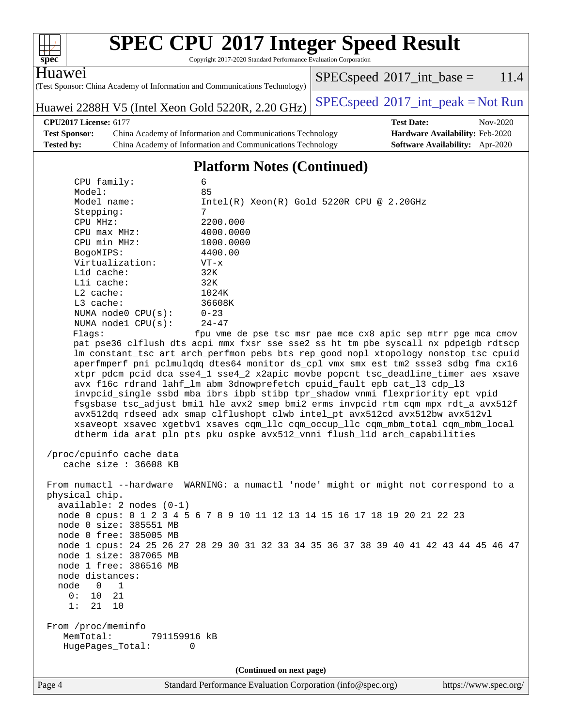| $spec^*$                                                                                                                                                                                                                                                                                                       | Copyright 2017-2020 Standard Performance Evaluation Corporation                                                                     | <b>SPEC CPU®2017 Integer Speed Result</b>                                                                                                                                                                                                                                                                                                                                                                                                                                                                                                                                                                                                                                                                                                                                                                                                                                                                                                                                |                       |
|----------------------------------------------------------------------------------------------------------------------------------------------------------------------------------------------------------------------------------------------------------------------------------------------------------------|-------------------------------------------------------------------------------------------------------------------------------------|--------------------------------------------------------------------------------------------------------------------------------------------------------------------------------------------------------------------------------------------------------------------------------------------------------------------------------------------------------------------------------------------------------------------------------------------------------------------------------------------------------------------------------------------------------------------------------------------------------------------------------------------------------------------------------------------------------------------------------------------------------------------------------------------------------------------------------------------------------------------------------------------------------------------------------------------------------------------------|-----------------------|
| Huawei                                                                                                                                                                                                                                                                                                         |                                                                                                                                     | $SPEC speed^{\circ}2017\_int\_base =$                                                                                                                                                                                                                                                                                                                                                                                                                                                                                                                                                                                                                                                                                                                                                                                                                                                                                                                                    | 11.4                  |
|                                                                                                                                                                                                                                                                                                                | (Test Sponsor: China Academy of Information and Communications Technology)                                                          |                                                                                                                                                                                                                                                                                                                                                                                                                                                                                                                                                                                                                                                                                                                                                                                                                                                                                                                                                                          |                       |
|                                                                                                                                                                                                                                                                                                                | Huawei 2288H V5 (Intel Xeon Gold 5220R, 2.20 GHz)                                                                                   | $SPEC speed^{\circ}2017\_int\_peak = Not Run$                                                                                                                                                                                                                                                                                                                                                                                                                                                                                                                                                                                                                                                                                                                                                                                                                                                                                                                            |                       |
| <b>CPU2017 License: 6177</b>                                                                                                                                                                                                                                                                                   |                                                                                                                                     | <b>Test Date:</b>                                                                                                                                                                                                                                                                                                                                                                                                                                                                                                                                                                                                                                                                                                                                                                                                                                                                                                                                                        | Nov-2020              |
| <b>Test Sponsor:</b><br><b>Tested by:</b>                                                                                                                                                                                                                                                                      | China Academy of Information and Communications Technology<br>China Academy of Information and Communications Technology            | Hardware Availability: Feb-2020<br><b>Software Availability:</b> Apr-2020                                                                                                                                                                                                                                                                                                                                                                                                                                                                                                                                                                                                                                                                                                                                                                                                                                                                                                |                       |
|                                                                                                                                                                                                                                                                                                                |                                                                                                                                     |                                                                                                                                                                                                                                                                                                                                                                                                                                                                                                                                                                                                                                                                                                                                                                                                                                                                                                                                                                          |                       |
|                                                                                                                                                                                                                                                                                                                | <b>Platform Notes (Continued)</b>                                                                                                   |                                                                                                                                                                                                                                                                                                                                                                                                                                                                                                                                                                                                                                                                                                                                                                                                                                                                                                                                                                          |                       |
| CPU family:<br>Model:<br>Model name:<br>Stepping:<br>CPU MHz:<br>CPU max MHz:<br>CPU min MHz:<br>BogoMIPS:<br>Virtualization:<br>Lld cache:<br>Lli cache:<br>L2 cache:<br>L3 cache:<br>NUMA node0 CPU(s):<br>NUMA nodel CPU(s):<br>Flags:                                                                      | 6<br>85<br>7<br>2200.000<br>4000.0000<br>1000.0000<br>4400.00<br>$VT - x$<br>32K<br>32K<br>1024K<br>36608K<br>$0 - 23$<br>$24 - 47$ | $Intel(R) Xeon(R) Gold 5220R CPU @ 2.20GHz$<br>fpu vme de pse tsc msr pae mce cx8 apic sep mtrr pge mca cmov<br>pat pse36 clflush dts acpi mmx fxsr sse sse2 ss ht tm pbe syscall nx pdpelgb rdtscp<br>lm constant_tsc art arch_perfmon pebs bts rep_good nopl xtopology nonstop_tsc cpuid<br>aperfmperf pni pclmulqdq dtes64 monitor ds_cpl vmx smx est tm2 ssse3 sdbg fma cx16<br>xtpr pdcm pcid dca sse4_1 sse4_2 x2apic movbe popcnt tsc_deadline_timer aes xsave<br>avx f16c rdrand lahf_lm abm 3dnowprefetch cpuid_fault epb cat_13 cdp_13<br>invpcid_single ssbd mba ibrs ibpb stibp tpr_shadow vnmi flexpriority ept vpid<br>fsgsbase tsc_adjust bmil hle avx2 smep bmi2 erms invpcid rtm cqm mpx rdt_a avx512f<br>avx512dq rdseed adx smap clflushopt clwb intel_pt avx512cd avx512bw avx512vl<br>xsaveopt xsavec xgetbvl xsaves cqm_llc cqm_occup_llc cqm_mbm_total cqm_mbm_local<br>dtherm ida arat pln pts pku ospke avx512_vnni flush_l1d arch_capabilities |                       |
| /proc/cpuinfo cache data<br>cache size: 36608 KB                                                                                                                                                                                                                                                               |                                                                                                                                     |                                                                                                                                                                                                                                                                                                                                                                                                                                                                                                                                                                                                                                                                                                                                                                                                                                                                                                                                                                          |                       |
| physical chip.<br>$available: 2 nodes (0-1)$<br>node 0 size: 385551 MB<br>node 0 free: 385005 MB<br>node 1 size: 387065 MB<br>node 1 free: 386516 MB<br>node distances:<br>node<br>$\overline{0}$<br>$\overline{1}$<br>0:<br>10<br>21<br>1:<br>21<br>10<br>From /proc/meminfo<br>MemTotal:<br>HugePages_Total: | 791159916 kB<br>0                                                                                                                   | From numactl --hardware WARNING: a numactl 'node' might or might not correspond to a<br>node 0 cpus: 0 1 2 3 4 5 6 7 8 9 10 11 12 13 14 15 16 17 18 19 20 21 22 23<br>node 1 cpus: 24 25 26 27 28 29 30 31 32 33 34 35 36 37 38 39 40 41 42 43 44 45 46 47                                                                                                                                                                                                                                                                                                                                                                                                                                                                                                                                                                                                                                                                                                               |                       |
| Page 4                                                                                                                                                                                                                                                                                                         | (Continued on next page)                                                                                                            |                                                                                                                                                                                                                                                                                                                                                                                                                                                                                                                                                                                                                                                                                                                                                                                                                                                                                                                                                                          |                       |
|                                                                                                                                                                                                                                                                                                                | Standard Performance Evaluation Corporation (info@spec.org)                                                                         |                                                                                                                                                                                                                                                                                                                                                                                                                                                                                                                                                                                                                                                                                                                                                                                                                                                                                                                                                                          | https://www.spec.org/ |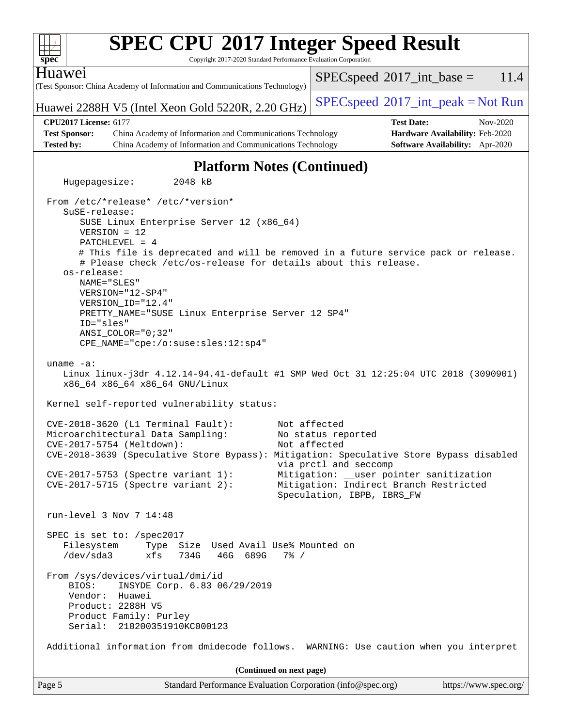| <b>SPEC CPU®2017 Integer Speed Result</b><br>Copyright 2017-2020 Standard Performance Evaluation Corporation<br>$spec^*$                                                                                                                                                                                                                                                                                                                                                                              |                                                                                                                                                                                                |  |  |  |
|-------------------------------------------------------------------------------------------------------------------------------------------------------------------------------------------------------------------------------------------------------------------------------------------------------------------------------------------------------------------------------------------------------------------------------------------------------------------------------------------------------|------------------------------------------------------------------------------------------------------------------------------------------------------------------------------------------------|--|--|--|
| Huawei                                                                                                                                                                                                                                                                                                                                                                                                                                                                                                | $SPEC speed^{\circ}2017\_int\_base =$<br>11.4                                                                                                                                                  |  |  |  |
| (Test Sponsor: China Academy of Information and Communications Technology)                                                                                                                                                                                                                                                                                                                                                                                                                            |                                                                                                                                                                                                |  |  |  |
| Huawei 2288H V5 (Intel Xeon Gold 5220R, 2.20 GHz)                                                                                                                                                                                                                                                                                                                                                                                                                                                     | $SPEC speed^{\circ}2017\_int\_peak = Not Run$                                                                                                                                                  |  |  |  |
| <b>CPU2017 License: 6177</b>                                                                                                                                                                                                                                                                                                                                                                                                                                                                          | <b>Test Date:</b><br>Nov-2020                                                                                                                                                                  |  |  |  |
| <b>Test Sponsor:</b><br>China Academy of Information and Communications Technology                                                                                                                                                                                                                                                                                                                                                                                                                    | Hardware Availability: Feb-2020                                                                                                                                                                |  |  |  |
| <b>Tested by:</b><br>China Academy of Information and Communications Technology                                                                                                                                                                                                                                                                                                                                                                                                                       | <b>Software Availability:</b> Apr-2020                                                                                                                                                         |  |  |  |
| <b>Platform Notes (Continued)</b>                                                                                                                                                                                                                                                                                                                                                                                                                                                                     |                                                                                                                                                                                                |  |  |  |
| Hugepagesize:<br>2048 kB                                                                                                                                                                                                                                                                                                                                                                                                                                                                              |                                                                                                                                                                                                |  |  |  |
| From /etc/*release* /etc/*version*<br>SuSE-release:<br>SUSE Linux Enterprise Server 12 (x86_64)<br>$VERSION = 12$<br>$PATCHLEVEL = 4$<br># This file is deprecated and will be removed in a future service pack or release.<br># Please check /etc/os-release for details about this release.<br>os-release:<br>NAME="SLES"<br>$VERSION = "12-SP4"$<br>VERSION ID="12.4"<br>PRETTY_NAME="SUSE Linux Enterprise Server 12 SP4"<br>ID="sles"<br>ANSI COLOR="0;32"<br>CPE_NAME="cpe:/o:suse:sles:12:sp4" |                                                                                                                                                                                                |  |  |  |
| uname $-a$ :<br>Linux linux-j3dr 4.12.14-94.41-default #1 SMP Wed Oct 31 12:25:04 UTC 2018 (3090901)<br>x86_64 x86_64 x86_64 GNU/Linux                                                                                                                                                                                                                                                                                                                                                                |                                                                                                                                                                                                |  |  |  |
| Kernel self-reported vulnerability status:                                                                                                                                                                                                                                                                                                                                                                                                                                                            |                                                                                                                                                                                                |  |  |  |
| CVE-2018-3620 (L1 Terminal Fault):<br>Microarchitectural Data Sampling:<br>CVE-2017-5754 (Meltdown):<br>CVE-2018-3639 (Speculative Store Bypass): Mitigation: Speculative Store Bypass disabled<br>CVE-2017-5753 (Spectre variant 1):<br>CVE-2017-5715 (Spectre variant 2):                                                                                                                                                                                                                           | Not affected<br>No status reported<br>Not affected<br>via prctl and seccomp<br>Mitigation: __user pointer sanitization<br>Mitigation: Indirect Branch Restricted<br>Speculation, IBPB, IBRS_FW |  |  |  |
| run-level 3 Nov 7 14:48                                                                                                                                                                                                                                                                                                                                                                                                                                                                               |                                                                                                                                                                                                |  |  |  |
| SPEC is set to: /spec2017<br>Filesystem<br>Type Size Used Avail Use% Mounted on<br>/dev/sda3<br>xfs<br>734G<br>46G 689G<br>$7\%$ /                                                                                                                                                                                                                                                                                                                                                                    |                                                                                                                                                                                                |  |  |  |
| From /sys/devices/virtual/dmi/id<br>INSYDE Corp. 6.83 06/29/2019<br>BIOS:<br>Huawei<br>Vendor:<br>Product: 2288H V5<br>Product Family: Purley<br>Serial: 210200351910KC000123                                                                                                                                                                                                                                                                                                                         |                                                                                                                                                                                                |  |  |  |
| Additional information from dmidecode follows. WARNING: Use caution when you interpret                                                                                                                                                                                                                                                                                                                                                                                                                |                                                                                                                                                                                                |  |  |  |
| (Continued on next page)                                                                                                                                                                                                                                                                                                                                                                                                                                                                              |                                                                                                                                                                                                |  |  |  |
| Standard Performance Evaluation Corporation (info@spec.org)<br>Page 5                                                                                                                                                                                                                                                                                                                                                                                                                                 | https://www.spec.org/                                                                                                                                                                          |  |  |  |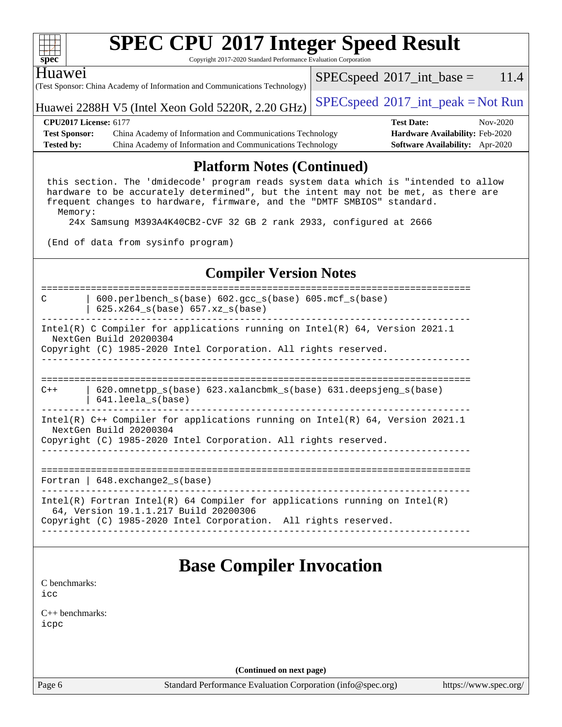| ч<br>ť<br>č |  |  |  |  |  |
|-------------|--|--|--|--|--|

Copyright 2017-2020 Standard Performance Evaluation Corporation

| Huawei                            | (Test Sponsor: China Academy of Information and Communications Technology) |  | $SPEC speed^{\circ}2017\_int\_base =$         | 11.4     |  |  |
|-----------------------------------|----------------------------------------------------------------------------|--|-----------------------------------------------|----------|--|--|
|                                   | Huawei 2288H V5 (Intel Xeon Gold 5220R, 2.20 GHz)                          |  | $SPEC speed^{\circ}2017\_int\_peak = Not Run$ |          |  |  |
| <b>CPU2017 License: 6177</b>      |                                                                            |  | <b>Test Date:</b>                             | Nov-2020 |  |  |
| <b>Test Sponsor:</b>              | China Academy of Information and Communications Technology                 |  | <b>Hardware Availability: Feb-2020</b>        |          |  |  |
| <b>Tested by:</b>                 | China Academy of Information and Communications Technology                 |  | <b>Software Availability:</b> Apr-2020        |          |  |  |
| <b>Platform Notes (Continued)</b> |                                                                            |  |                                               |          |  |  |

#### this section. The 'dmidecode' program reads system data which is "intended to allow hardware to be accurately determined", but the intent may not be met, as there are frequent changes to hardware, firmware, and the "DMTF SMBIOS" standard. Memory:

24x Samsung M393A4K40CB2-CVF 32 GB 2 rank 2933, configured at 2666

(End of data from sysinfo program)

### **[Compiler Version Notes](http://www.spec.org/auto/cpu2017/Docs/result-fields.html#CompilerVersionNotes)**



# **[Base Compiler Invocation](http://www.spec.org/auto/cpu2017/Docs/result-fields.html#BaseCompilerInvocation)**

[C benchmarks](http://www.spec.org/auto/cpu2017/Docs/result-fields.html#Cbenchmarks): [icc](http://www.spec.org/cpu2017/results/res2020q4/cpu2017-20201110-24382.flags.html#user_CCbase_intel_icc_66fc1ee009f7361af1fbd72ca7dcefbb700085f36577c54f309893dd4ec40d12360134090235512931783d35fd58c0460139e722d5067c5574d8eaf2b3e37e92)

[C++ benchmarks:](http://www.spec.org/auto/cpu2017/Docs/result-fields.html#CXXbenchmarks) [icpc](http://www.spec.org/cpu2017/results/res2020q4/cpu2017-20201110-24382.flags.html#user_CXXbase_intel_icpc_c510b6838c7f56d33e37e94d029a35b4a7bccf4766a728ee175e80a419847e808290a9b78be685c44ab727ea267ec2f070ec5dc83b407c0218cded6866a35d07)

**(Continued on next page)**

Page 6 Standard Performance Evaluation Corporation [\(info@spec.org\)](mailto:info@spec.org) <https://www.spec.org/>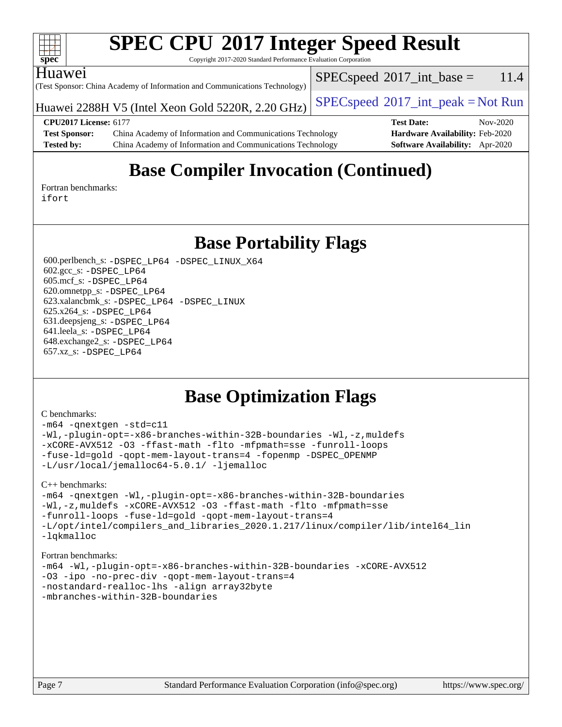| s<br>e<br>٠,<br>z |  |  |  |  |  |
|-------------------|--|--|--|--|--|

Copyright 2017-2020 Standard Performance Evaluation Corporation

### Huawei

(Test Sponsor: China Academy of Information and Communications Technology)

Huawei 2288H V5 (Intel Xeon Gold 5220R, 2.20 GHz)  $\vert$  [SPECspeed](http://www.spec.org/auto/cpu2017/Docs/result-fields.html#SPECspeed2017intpeak)<sup>®</sup>[2017\\_int\\_peak = N](http://www.spec.org/auto/cpu2017/Docs/result-fields.html#SPECspeed2017intpeak)ot Run

 $SPECspeed^{\circ}2017\_int\_base = 11.4$  $SPECspeed^{\circ}2017\_int\_base = 11.4$ 

#### **[CPU2017 License:](http://www.spec.org/auto/cpu2017/Docs/result-fields.html#CPU2017License)** 6177 **[Test Date:](http://www.spec.org/auto/cpu2017/Docs/result-fields.html#TestDate)** Nov-2020 **[Test Sponsor:](http://www.spec.org/auto/cpu2017/Docs/result-fields.html#TestSponsor)** China Academy of Information and Communications Technology **[Hardware Availability:](http://www.spec.org/auto/cpu2017/Docs/result-fields.html#HardwareAvailability)** Feb-2020 **[Tested by:](http://www.spec.org/auto/cpu2017/Docs/result-fields.html#Testedby)** China Academy of Information and Communications Technology **[Software Availability:](http://www.spec.org/auto/cpu2017/Docs/result-fields.html#SoftwareAvailability)** Apr-2020

# **[Base Compiler Invocation \(Continued\)](http://www.spec.org/auto/cpu2017/Docs/result-fields.html#BaseCompilerInvocation)**

[Fortran benchmarks](http://www.spec.org/auto/cpu2017/Docs/result-fields.html#Fortranbenchmarks): [ifort](http://www.spec.org/cpu2017/results/res2020q4/cpu2017-20201110-24382.flags.html#user_FCbase_intel_ifort_8111460550e3ca792625aed983ce982f94888b8b503583aa7ba2b8303487b4d8a21a13e7191a45c5fd58ff318f48f9492884d4413fa793fd88dd292cad7027ca)

**[Base Portability Flags](http://www.spec.org/auto/cpu2017/Docs/result-fields.html#BasePortabilityFlags)**

 600.perlbench\_s: [-DSPEC\\_LP64](http://www.spec.org/cpu2017/results/res2020q4/cpu2017-20201110-24382.flags.html#b600.perlbench_s_basePORTABILITY_DSPEC_LP64) [-DSPEC\\_LINUX\\_X64](http://www.spec.org/cpu2017/results/res2020q4/cpu2017-20201110-24382.flags.html#b600.perlbench_s_baseCPORTABILITY_DSPEC_LINUX_X64) 602.gcc\_s: [-DSPEC\\_LP64](http://www.spec.org/cpu2017/results/res2020q4/cpu2017-20201110-24382.flags.html#suite_basePORTABILITY602_gcc_s_DSPEC_LP64) 605.mcf\_s: [-DSPEC\\_LP64](http://www.spec.org/cpu2017/results/res2020q4/cpu2017-20201110-24382.flags.html#suite_basePORTABILITY605_mcf_s_DSPEC_LP64) 620.omnetpp\_s: [-DSPEC\\_LP64](http://www.spec.org/cpu2017/results/res2020q4/cpu2017-20201110-24382.flags.html#suite_basePORTABILITY620_omnetpp_s_DSPEC_LP64) 623.xalancbmk\_s: [-DSPEC\\_LP64](http://www.spec.org/cpu2017/results/res2020q4/cpu2017-20201110-24382.flags.html#suite_basePORTABILITY623_xalancbmk_s_DSPEC_LP64) [-DSPEC\\_LINUX](http://www.spec.org/cpu2017/results/res2020q4/cpu2017-20201110-24382.flags.html#b623.xalancbmk_s_baseCXXPORTABILITY_DSPEC_LINUX) 625.x264\_s: [-DSPEC\\_LP64](http://www.spec.org/cpu2017/results/res2020q4/cpu2017-20201110-24382.flags.html#suite_basePORTABILITY625_x264_s_DSPEC_LP64) 631.deepsjeng\_s: [-DSPEC\\_LP64](http://www.spec.org/cpu2017/results/res2020q4/cpu2017-20201110-24382.flags.html#suite_basePORTABILITY631_deepsjeng_s_DSPEC_LP64) 641.leela\_s: [-DSPEC\\_LP64](http://www.spec.org/cpu2017/results/res2020q4/cpu2017-20201110-24382.flags.html#suite_basePORTABILITY641_leela_s_DSPEC_LP64) 648.exchange2\_s: [-DSPEC\\_LP64](http://www.spec.org/cpu2017/results/res2020q4/cpu2017-20201110-24382.flags.html#suite_basePORTABILITY648_exchange2_s_DSPEC_LP64) 657.xz\_s: [-DSPEC\\_LP64](http://www.spec.org/cpu2017/results/res2020q4/cpu2017-20201110-24382.flags.html#suite_basePORTABILITY657_xz_s_DSPEC_LP64)

# **[Base Optimization Flags](http://www.spec.org/auto/cpu2017/Docs/result-fields.html#BaseOptimizationFlags)**

#### [C benchmarks](http://www.spec.org/auto/cpu2017/Docs/result-fields.html#Cbenchmarks):

```
-m64 -qnextgen -std=c11
-Wl,-plugin-opt=-x86-branches-within-32B-boundaries -Wl,-z,muldefs
-xCORE-AVX512 -O3 -ffast-math -flto -mfpmath=sse -funroll-loops
-fuse-ld=gold -qopt-mem-layout-trans=4 -fopenmp -DSPEC_OPENMP
-L/usr/local/jemalloc64-5.0.1/ -ljemalloc
```
[C++ benchmarks:](http://www.spec.org/auto/cpu2017/Docs/result-fields.html#CXXbenchmarks)

```
-m64 -qnextgen -Wl,-plugin-opt=-x86-branches-within-32B-boundaries
-Wl,-z,muldefs -xCORE-AVX512 -O3 -ffast-math -flto -mfpmath=sse
-funroll-loops -fuse-ld=gold -qopt-mem-layout-trans=4
-L/opt/intel/compilers_and_libraries_2020.1.217/linux/compiler/lib/intel64_lin
-lqkmalloc
```
#### [Fortran benchmarks](http://www.spec.org/auto/cpu2017/Docs/result-fields.html#Fortranbenchmarks):

```
-m64 -Wl,-plugin-opt=-x86-branches-within-32B-boundaries -xCORE-AVX512
-O3 -ipo -no-prec-div -qopt-mem-layout-trans=4
-nostandard-realloc-lhs -align array32byte
-mbranches-within-32B-boundaries
```